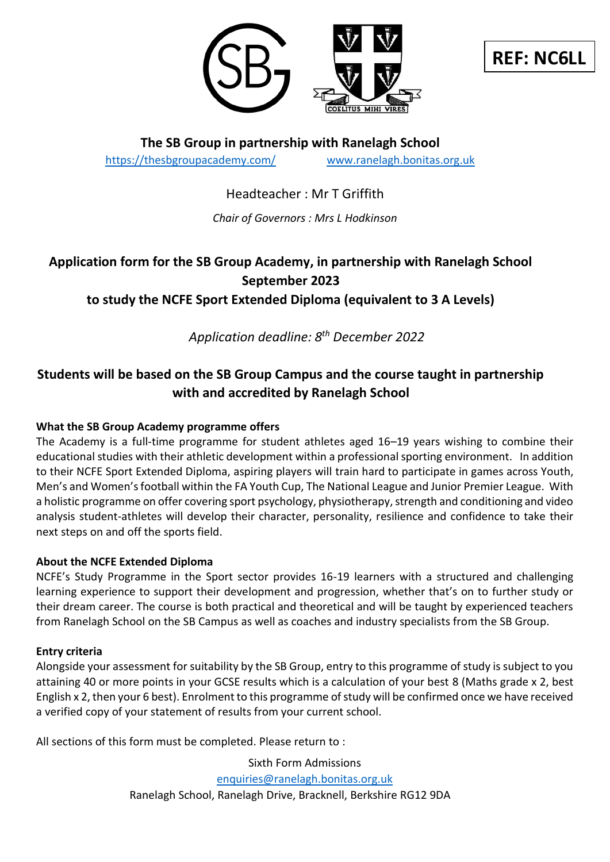

**REF: NC6LL**

**The SB Group in partnership with Ranelagh School** <https://thesbgroupacademy.com/> [www.ranelagh.bonitas.org.uk](http://www.ranelagh.bonitas.org.uk/)

Headteacher : Mr T Griffith

*Chair of Governors : Mrs L Hodkinson*

# **Application form for the SB Group Academy, in partnership with Ranelagh School September 2023**

**to study the NCFE Sport Extended Diploma (equivalent to 3 A Levels)** 

*Application deadline: 8 th December 2022*

# **Students will be based on the SB Group Campus and the course taught in partnership with and accredited by Ranelagh School**

# **What the SB Group Academy programme offers**

The Academy is a full-time programme for student athletes aged 16–19 years wishing to combine their educational studies with their athletic development within a professional sporting environment. In addition to their NCFE Sport Extended Diploma, aspiring players will train hard to participate in games across Youth, Men's and Women's football within the FA Youth Cup, The National League and Junior Premier League. With a holistic programme on offer covering sport psychology, physiotherapy, strength and conditioning and video analysis student-athletes will develop their character, personality, resilience and confidence to take their next steps on and off the sports field.

### **About the NCFE Extended Diploma**

NCFE's Study Programme in the Sport sector provides 16-19 learners with a structured and challenging learning experience to support their development and progression, whether that's on to further study or their dream career. The course is both practical and theoretical and will be taught by experienced teachers from Ranelagh School on the SB Campus as well as coaches and industry specialists from the SB Group.

#### **Entry criteria**

Alongside your assessment for suitability by the SB Group, entry to this programme of study is subject to you attaining 40 or more points in your GCSE results which is a calculation of your best 8 (Maths grade x 2, best English x 2, then your 6 best). Enrolment to this programme of study will be confirmed once we have received a verified copy of your statement of results from your current school.

All sections of this form must be completed. Please return to :

Sixth Form Admissions [enquiries@ranelagh.bonitas.org.uk](mailto:enquiries@ranelagh.bonitas.org.uk) Ranelagh School, Ranelagh Drive, Bracknell, Berkshire RG12 9DA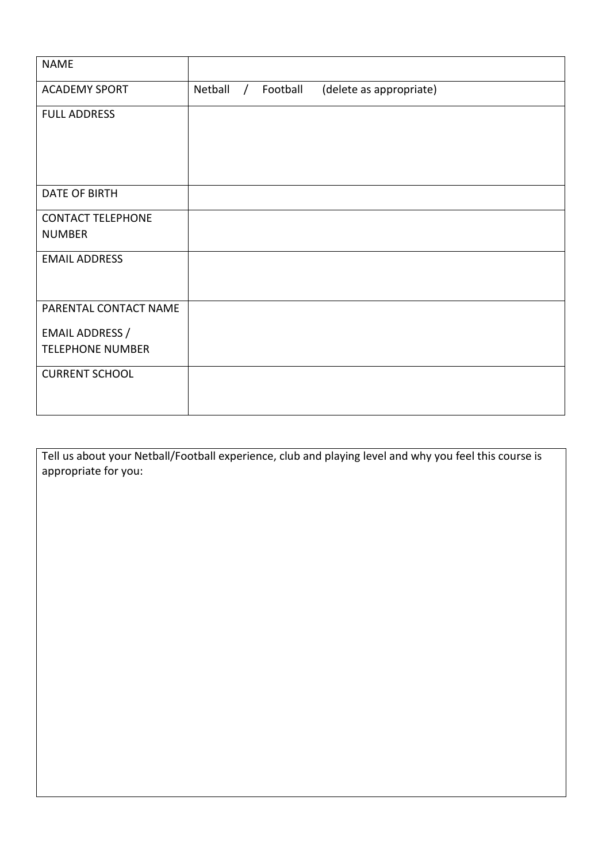| <b>NAME</b>                               |         |            |          |                         |
|-------------------------------------------|---------|------------|----------|-------------------------|
| <b>ACADEMY SPORT</b>                      | Netball | $\sqrt{2}$ | Football | (delete as appropriate) |
| <b>FULL ADDRESS</b>                       |         |            |          |                         |
| <b>DATE OF BIRTH</b>                      |         |            |          |                         |
| <b>CONTACT TELEPHONE</b><br><b>NUMBER</b> |         |            |          |                         |
| <b>EMAIL ADDRESS</b>                      |         |            |          |                         |
| PARENTAL CONTACT NAME                     |         |            |          |                         |
| EMAIL ADDRESS /                           |         |            |          |                         |
| <b>TELEPHONE NUMBER</b>                   |         |            |          |                         |
| <b>CURRENT SCHOOL</b>                     |         |            |          |                         |

Tell us about your Netball/Football experience, club and playing level and why you feel this course is appropriate for you: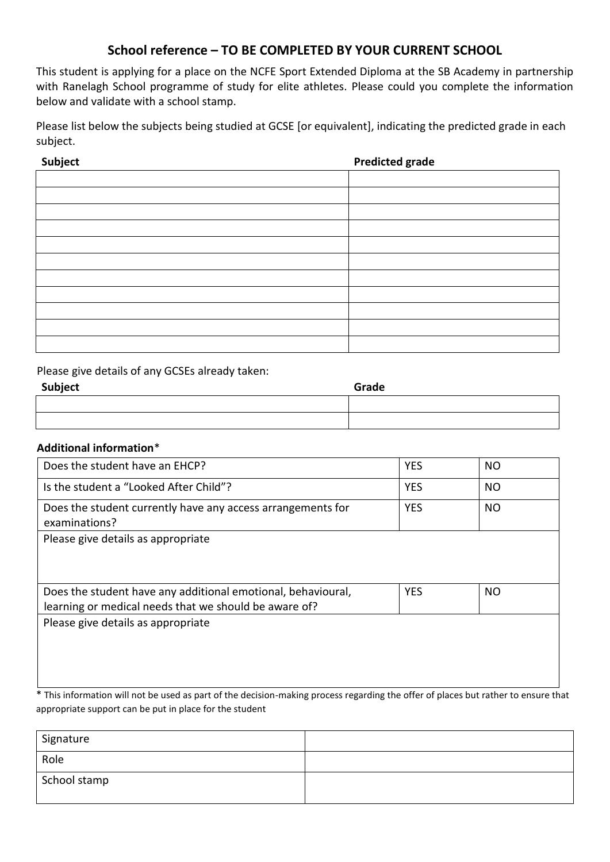# **School reference – TO BE COMPLETED BY YOUR CURRENT SCHOOL**

This student is applying for a place on the NCFE Sport Extended Diploma at the SB Academy in partnership with Ranelagh School programme of study for elite athletes. Please could you complete the information below and validate with a school stamp.

Please list below the subjects being studied at GCSE [or equivalent], indicating the predicted grade in each subject.

**Subject Predicted grade** 

Please give details of any GCSEs already taken:

| Subject | Grade |
|---------|-------|
|         |       |
|         |       |

#### **Additional information**\*

| Does the student have an EHCP?                                                                                        | <b>YES</b> | NO        |
|-----------------------------------------------------------------------------------------------------------------------|------------|-----------|
| Is the student a "Looked After Child"?                                                                                | <b>YES</b> | <b>NO</b> |
| Does the student currently have any access arrangements for<br>examinations?                                          | <b>YES</b> | NO.       |
| Please give details as appropriate                                                                                    |            |           |
| Does the student have any additional emotional, behavioural,<br>learning or medical needs that we should be aware of? | <b>YES</b> | NO        |
| Please give details as appropriate                                                                                    |            |           |
|                                                                                                                       |            |           |
|                                                                                                                       |            |           |

\* This information will not be used as part of the decision-making process regarding the offer of places but rather to ensure that appropriate support can be put in place for the student

| Signature    |  |
|--------------|--|
| Role         |  |
| School stamp |  |